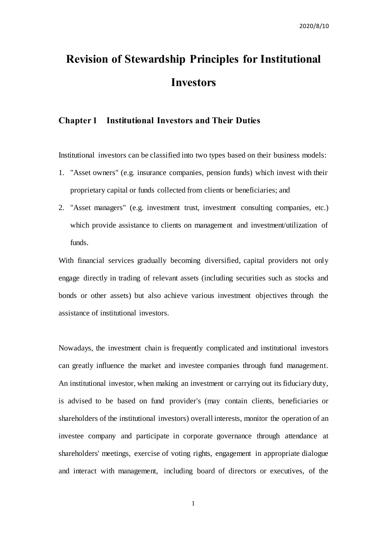# **Revision of Stewardship Principles for Institutional Investors**

# **Chapter 1 Institutional Investors and Their Duties**

Institutional investors can be classified into two types based on their business models:

- 1. "Asset owners" (e.g. insurance companies, pension funds) which invest with their proprietary capital or funds collected from clients or beneficiaries; and
- 2. "Asset managers" (e.g. investment trust, investment consulting companies, etc.) which provide assistance to clients on management and investment/utilization of funds.

With financial services gradually becoming diversified, capital providers not only engage directly in trading of relevant assets (including securities such as stocks and bonds or other assets) but also achieve various investment objectives through the assistance of institutional investors.

Nowadays, the investment chain is frequently complicated and institutional investors can greatly influence the market and investee companies through fund management. An institutional investor, when making an investment or carrying out its fiduciary duty, is advised to be based on fund provider's (may contain clients, beneficiaries or shareholders of the institutional investors) overall interests, monitor the operation of an investee company and participate in corporate governance through attendance at shareholders' meetings, exercise of voting rights, engagement in appropriate dialogue and interact with management, including board of directors or executives, of the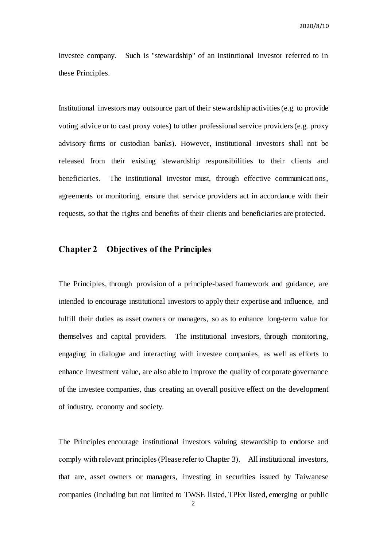investee company. Such is "stewardship" of an institutional investor referred to in these Principles.

Institutional investors may outsource part of their stewardship activities (e.g. to provide voting advice or to cast proxy votes) to other professional service providers (e.g. proxy advisory firms or custodian banks). However, institutional investors shall not be released from their existing stewardship responsibilities to their clients and beneficiaries. The institutional investor must, through effective communications, agreements or monitoring, ensure that service providers act in accordance with their requests, so that the rights and benefits of their clients and beneficiaries are protected.

# **Chapter 2 Objectives of the Principles**

The Principles, through provision of a principle-based framework and guidance, are intended to encourage institutional investors to apply their expertise and influence, and fulfill their duties as asset owners or managers, so as to enhance long-term value for themselves and capital providers. The institutional investors, through monitoring, engaging in dialogue and interacting with investee companies, as well as efforts to enhance investment value, are also able to improve the quality of corporate governance of the investee companies, thus creating an overall positive effect on the development of industry, economy and society.

The Principles encourage institutional investors valuing stewardship to endorse and comply with relevant principles(Please refer to Chapter 3). All institutional investors, that are, asset owners or managers, investing in securities issued by Taiwanese companies (including but not limited to TWSE listed, TPEx listed, emerging or public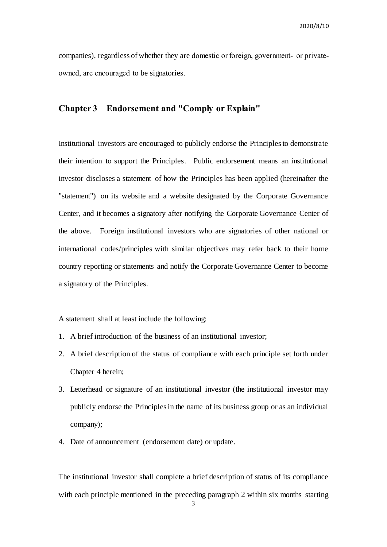companies), regardless of whether they are domestic or foreign, government- or privateowned, are encouraged to be signatories.

## **Chapter 3 Endorsement and "Comply or Explain"**

Institutional investors are encouraged to publicly endorse the Principles to demonstrate their intention to support the Principles. Public endorsement means an institutional investor discloses a statement of how the Principles has been applied (hereinafter the "statement") on its website and a website designated by the Corporate Governance Center, and it becomes a signatory after notifying the Corporate Governance Center of the above. Foreign institutional investors who are signatories of other national or international codes/principles with similar objectives may refer back to their home country reporting or statements and notify the Corporate Governance Center to become a signatory of the Principles.

A statement shall at least include the following:

- 1. A brief introduction of the business of an institutional investor;
- 2. A brief description of the status of compliance with each principle set forth under Chapter 4 herein;
- 3. Letterhead or signature of an institutional investor (the institutional investor may publicly endorse the Principles in the name of its business group or as an individual company);
- 4. Date of announcement (endorsement date) or update.

The institutional investor shall complete a brief description of status of its compliance with each principle mentioned in the preceding paragraph 2 within six months starting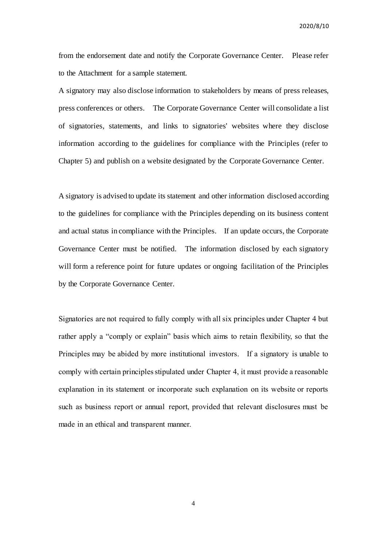from the endorsement date and notify the Corporate Governance Center. Please refer to the Attachment for a sample statement.

A signatory may also disclose information to stakeholders by means of press releases, press conferences or others. The Corporate Governance Center will consolidate a list of signatories, statements, and links to signatories' websites where they disclose information according to the guidelines for compliance with the Principles (refer to Chapter 5) and publish on a website designated by the Corporate Governance Center.

A signatory is advised to update its statement and other information disclosed according to the guidelines for compliance with the Principles depending on its business content and actual status in compliance with the Principles. If an update occurs, the Corporate Governance Center must be notified. The information disclosed by each signatory will form a reference point for future updates or ongoing facilitation of the Principles by the Corporate Governance Center.

Signatories are not required to fully comply with all six principles under Chapter 4 but rather apply a "comply or explain" basis which aims to retain flexibility, so that the Principles may be abided by more institutional investors. If a signatory is unable to comply with certain principles stipulated under Chapter 4, it must provide a reasonable explanation in its statement or incorporate such explanation on its website or reports such as business report or annual report, provided that relevant disclosures must be made in an ethical and transparent manner.

4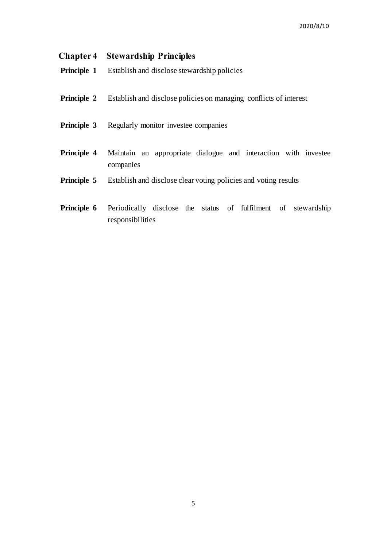|                    | <b>Chapter 4 Stewardship Principles</b>                                                              |
|--------------------|------------------------------------------------------------------------------------------------------|
|                    | <b>Principle 1</b> Establish and disclose stewardship policies                                       |
|                    | <b>Principle 2</b> Establish and disclose policies on managing conflicts of interest                 |
|                    | <b>Principle 3</b> Regularly monitor investee companies                                              |
| <b>Principle 4</b> | Maintain an appropriate dialogue and interaction with investee<br>companies                          |
|                    | <b>Principle 5</b> Establish and disclose clear voting policies and voting results                   |
|                    | <b>Principle 6</b> Periodically disclose the status of fulfilment of stewardship<br>responsibilities |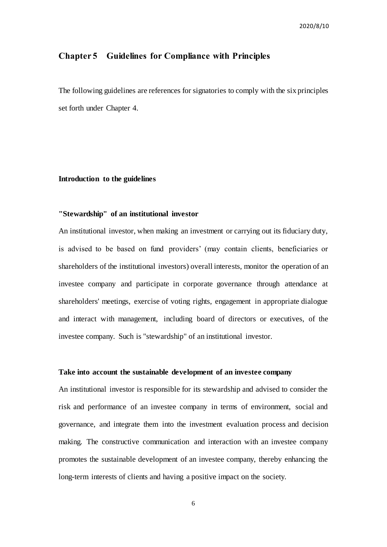# **Chapter 5 Guidelines for Compliance with Principles**

The following guidelines are references for signatories to comply with the six principles set forth under Chapter 4.

#### **Introduction to the guidelines**

#### **"Stewardship" of an institutional investor**

An institutional investor, when making an investment or carrying out its fiduciary duty, is advised to be based on fund providers' (may contain clients, beneficiaries or shareholders of the institutional investors) overall interests, monitor the operation of an investee company and participate in corporate governance through attendance at shareholders' meetings, exercise of voting rights, engagement in appropriate dialogue and interact with management, including board of directors or executives, of the investee company. Such is "stewardship" of an institutional investor.

#### **Take into account the sustainable development of an investee company**

An institutional investor is responsible for its stewardship and advised to consider the risk and performance of an investee company in terms of environment, social and governance, and integrate them into the investment evaluation process and decision making. The constructive communication and interaction with an investee company promotes the sustainable development of an investee company, thereby enhancing the long-term interests of clients and having a positive impact on the society.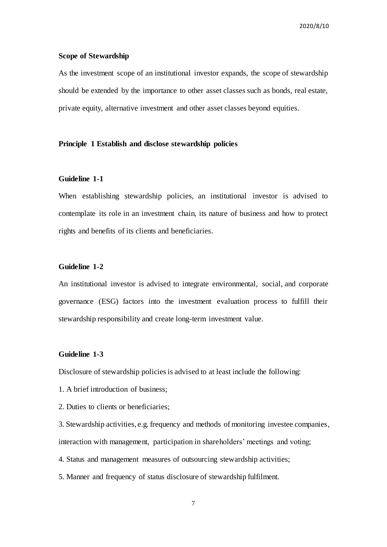#### **Scope of Stewardship**

As the investment scope of an institutional investor expands, the scope of stewardship should be extended by the importance to other asset classes such as bonds, real estate, private equity, alternative investment and other asset classes beyond equities.

#### **Principle 1 Establish and disclose stewardship policies**

#### **Guideline 1-1**

When establishing stewardship policies, an institutional investor is advised to contemplate its role in an investment chain, its nature of business and how to protect rights and benefits of its clients and beneficiaries.

## **Guideline 1-2**

An institutional investor is advised to integrate environmental, social, and corporate governance (ESG) factors into the investment evaluation process to fulfill their stewardship responsibility and create long-term investment value.

## **Guideline 1-3**

Disclosure of stewardship policies is advised to at least include the following:

- 1. A brief introduction of business;
- 2. Duties to clients or beneficiaries;

3. Stewardship activities, e.g. frequency and methods of monitoring investee companies,

interaction with management, participation in shareholders' meetings and voting;

- 4. Status and management measures of outsourcing stewardship activities;
- 5. Manner and frequency of status disclosure of stewardship fulfilment.

7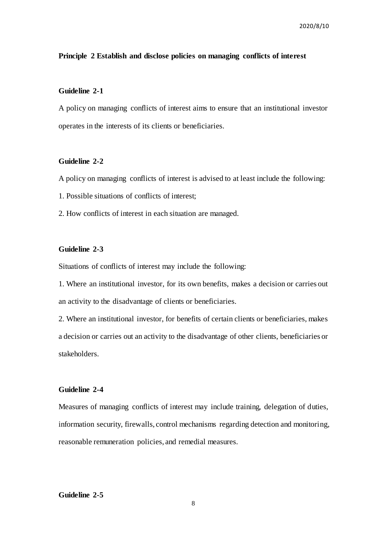#### **Principle 2 Establish and disclose policies on managing conflicts of interest**

## **Guideline 2-1**

A policy on managing conflicts of interest aims to ensure that an institutional investor operates in the interests of its clients or beneficiaries.

# **Guideline 2-2**

A policy on managing conflicts of interest is advised to at least include the following:

- 1. Possible situations of conflicts of interest;
- 2. How conflicts of interest in each situation are managed.

# **Guideline 2-3**

Situations of conflicts of interest may include the following:

1. Where an institutional investor, for its own benefits, makes a decision or carries out an activity to the disadvantage of clients or beneficiaries.

2. Where an institutional investor, for benefits of certain clients or beneficiaries, makes a decision or carries out an activity to the disadvantage of other clients, beneficiaries or stakeholders.

## **Guideline 2-4**

Measures of managing conflicts of interest may include training, delegation of duties, information security, firewalls, control mechanisms regarding detection and monitoring, reasonable remuneration policies, and remedial measures.

# **Guideline 2-5**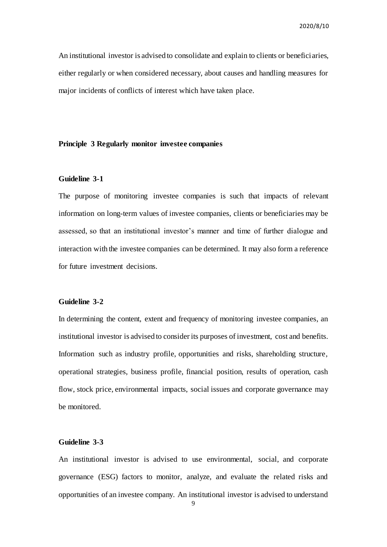An institutional investor is advised to consolidate and explain to clients or beneficiaries, either regularly or when considered necessary, about causes and handling measures for major incidents of conflicts of interest which have taken place.

#### **Principle 3 Regularly monitor investee companies**

#### **Guideline 3-1**

The purpose of monitoring investee companies is such that impacts of relevant information on long-term values of investee companies, clients or beneficiaries may be assessed, so that an institutional investor's manner and time of further dialogue and interaction with the investee companies can be determined. It may also form a reference for future investment decisions.

## **Guideline 3-2**

In determining the content, extent and frequency of monitoring investee companies, an institutional investor is advised to consider its purposes of investment, cost and benefits. Information such as industry profile, opportunities and risks, shareholding structure, operational strategies, business profile, financial position, results of operation, cash flow, stock price, environmental impacts, social issues and corporate governance may be monitored.

#### **Guideline 3-3**

An institutional investor is advised to use environmental, social, and corporate governance (ESG) factors to monitor, analyze, and evaluate the related risks and opportunities of an investee company. An institutional investor is advised to understand

9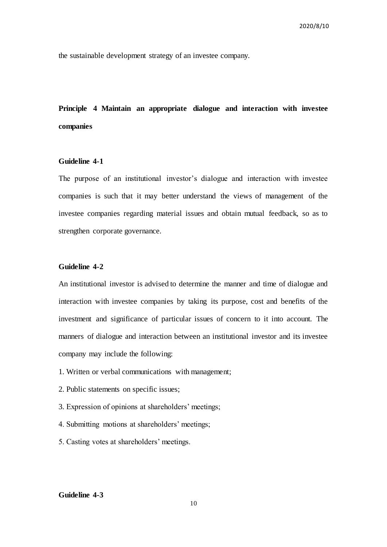the sustainable development strategy of an investee company.

**Principle 4 Maintain an appropriate dialogue and interaction with investee companies** 

# **Guideline 4-1**

The purpose of an institutional investor's dialogue and interaction with investee companies is such that it may better understand the views of management of the investee companies regarding material issues and obtain mutual feedback, so as to strengthen corporate governance.

## **Guideline 4-2**

An institutional investor is advised to determine the manner and time of dialogue and interaction with investee companies by taking its purpose, cost and benefits of the investment and significance of particular issues of concern to it into account. The manners of dialogue and interaction between an institutional investor and its investee company may include the following:

- 1. Written or verbal communications with management;
- 2. Public statements on specific issues;
- 3. Expression of opinions at shareholders' meetings;
- 4. Submitting motions at shareholders' meetings;
- 5. Casting votes at shareholders' meetings.

## **Guideline 4-3**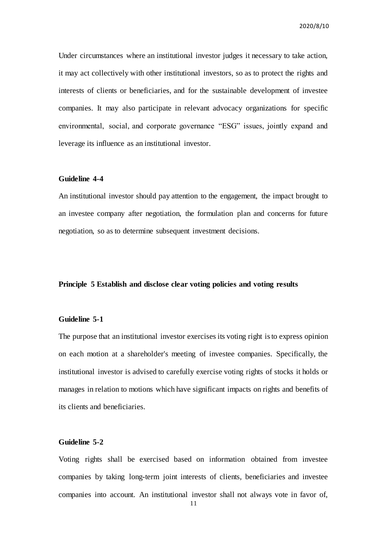Under circumstances where an institutional investor judges it necessary to take action, it may act collectively with other institutional investors, so as to protect the rights and interests of clients or beneficiaries, and for the sustainable development of investee companies. It may also participate in relevant advocacy organizations for specific environmental, social, and corporate governance "ESG" issues, jointly expand and leverage its influence as an institutional investor.

#### **Guideline 4-4**

An institutional investor should pay attention to the engagement, the impact brought to an investee company after negotiation, the formulation plan and concerns for future negotiation, so as to determine subsequent investment decisions.

## **Principle 5 Establish and disclose clear voting policies and voting results**

#### **Guideline 5-1**

The purpose that an institutional investor exercises its voting right is to express opinion on each motion at a shareholder's meeting of investee companies. Specifically, the institutional investor is advised to carefully exercise voting rights of stocks it holds or manages in relation to motions which have significant impacts on rights and benefits of its clients and beneficiaries.

## **Guideline 5-2**

Voting rights shall be exercised based on information obtained from investee companies by taking long-term joint interests of clients, beneficiaries and investee companies into account. An institutional investor shall not always vote in favor of,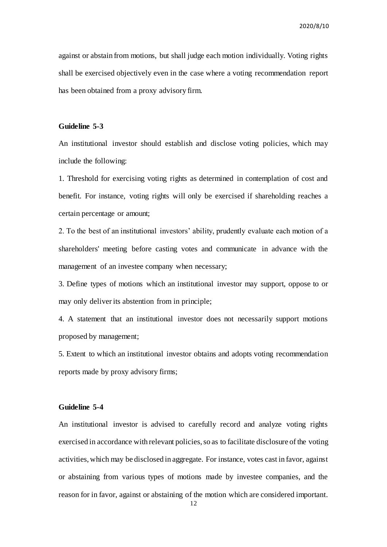against or abstain from motions, but shall judge each motion individually. Voting rights shall be exercised objectively even in the case where a voting recommendation report has been obtained from a proxy advisory firm.

#### **Guideline 5-3**

An institutional investor should establish and disclose voting policies, which may include the following:

1. Threshold for exercising voting rights as determined in contemplation of cost and benefit. For instance, voting rights will only be exercised if shareholding reaches a certain percentage or amount;

2. To the best of an institutional investors' ability, prudently evaluate each motion of a shareholders' meeting before casting votes and communicate in advance with the management of an investee company when necessary;

3. Define types of motions which an institutional investor may support, oppose to or may only deliver its abstention from in principle;

4. A statement that an institutional investor does not necessarily support motions proposed by management;

5. Extent to which an institutional investor obtains and adopts voting recommendation reports made by proxy advisory firms;

#### **Guideline 5-4**

An institutional investor is advised to carefully record and analyze voting rights exercised in accordance with relevant policies, so as to facilitate disclosure of the voting activities, which may be disclosed in aggregate. For instance, votes cast in favor, against or abstaining from various types of motions made by investee companies, and the reason for in favor, against or abstaining of the motion which are considered important.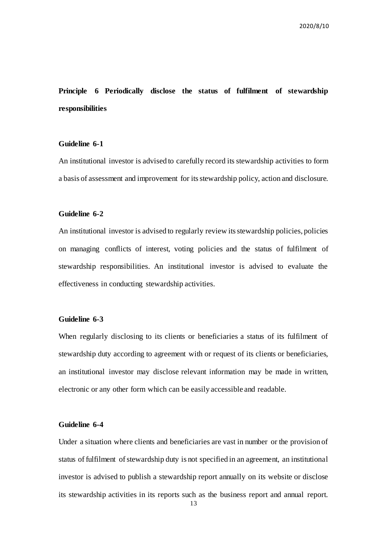**Principle 6 Periodically disclose the status of fulfilment of stewardship responsibilities** 

#### **Guideline 6-1**

An institutional investor is advised to carefully record its stewardship activities to form a basis of assessment and improvement for its stewardship policy, action and disclosure.

#### **Guideline 6-2**

An institutional investor is advised to regularly review its stewardship policies, policies on managing conflicts of interest, voting policies and the status of fulfilment of stewardship responsibilities. An institutional investor is advised to evaluate the effectiveness in conducting stewardship activities.

## **Guideline 6-3**

When regularly disclosing to its clients or beneficiaries a status of its fulfilment of stewardship duty according to agreement with or request of its clients or beneficiaries, an institutional investor may disclose relevant information may be made in written, electronic or any other form which can be easily accessible and readable.

## **Guideline 6-4**

Under a situation where clients and beneficiaries are vast in number or the provision of status of fulfilment of stewardship duty is not specified in an agreement, an institutional investor is advised to publish a stewardship report annually on its website or disclose its stewardship activities in its reports such as the business report and annual report.